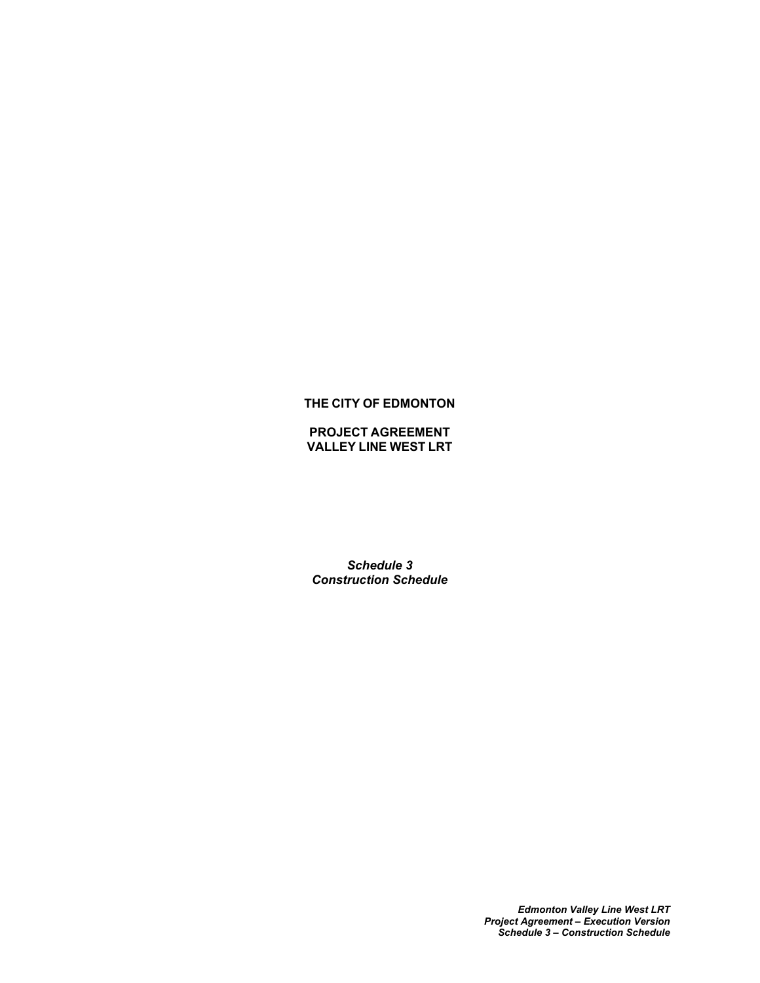# **THE CITY OF EDMONTON**

**PROJECT AGREEMENT VALLEY LINE WEST LRT**

*Schedule 3 Construction Schedule*

> *Edmonton Valley Line West LRT Project Agreement – Execution Version Schedule 3 – Construction Schedule*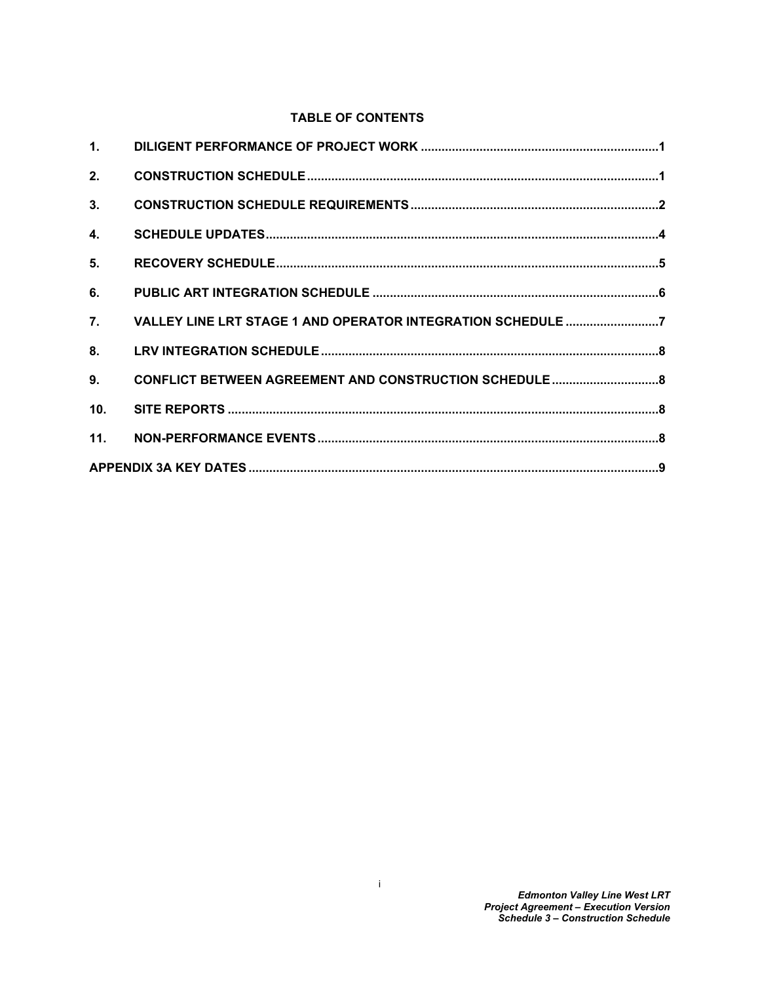# **TABLE OF CONTENTS**

| 1.             |  |  |  |
|----------------|--|--|--|
| 2.             |  |  |  |
| 3.             |  |  |  |
| 4.             |  |  |  |
| 5.             |  |  |  |
| 6.             |  |  |  |
| 7.             |  |  |  |
| 8 <sub>1</sub> |  |  |  |
| 9.             |  |  |  |
| 10.            |  |  |  |
| 11.            |  |  |  |
|                |  |  |  |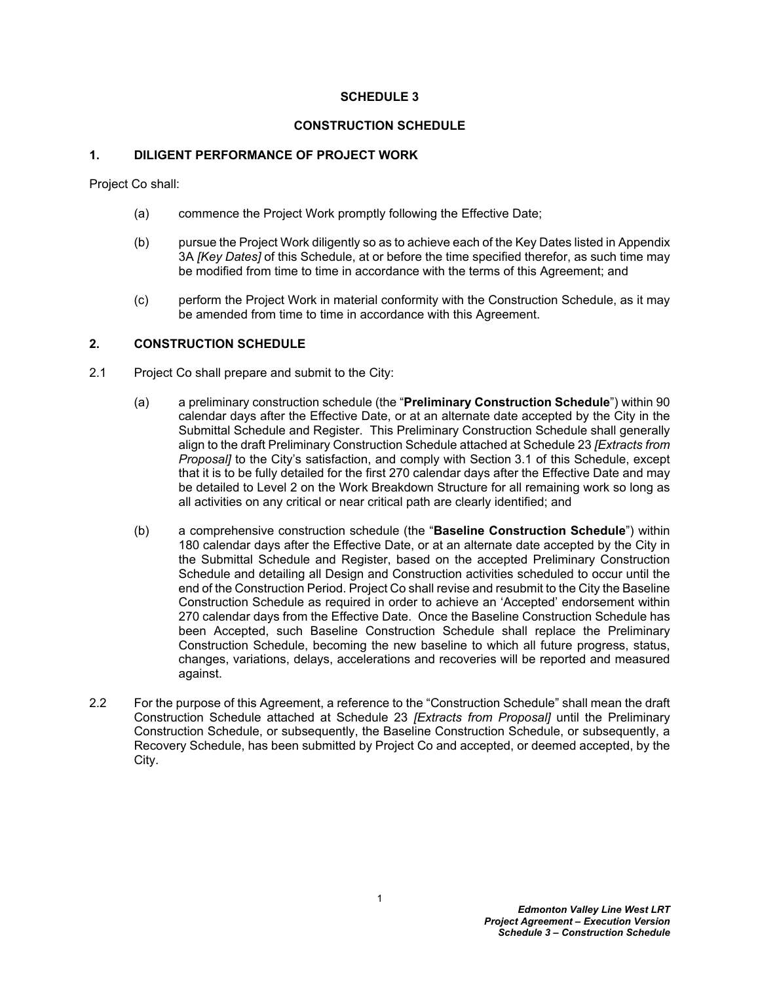#### **SCHEDULE 3**

#### **CONSTRUCTION SCHEDULE**

#### <span id="page-2-0"></span>**1. DILIGENT PERFORMANCE OF PROJECT WORK**

Project Co shall:

- (a) commence the Project Work promptly following the Effective Date;
- (b) pursue the Project Work diligently so as to achieve each of the Key Dates listed in [Appendix](#page-10-0)  [3A](#page-10-0) *[Key Dates]* of this Schedule, at or before the time specified therefor, as such time may be modified from time to time in accordance with the terms of this Agreement; and
- (c) perform the Project Work in material conformity with the Construction Schedule, as it may be amended from time to time in accordance with this Agreement.

#### <span id="page-2-1"></span>**2. CONSTRUCTION SCHEDULE**

- 2.1 Project Co shall prepare and submit to the City:
	- (a) a preliminary construction schedule (the "**Preliminary Construction Schedule**") within 90 calendar days after the Effective Date, or at an alternate date accepted by the City in the Submittal Schedule and Register. This Preliminary Construction Schedule shall generally align to the draft Preliminary Construction Schedule attached at Schedule 23 *[Extracts from Proposal]* to the City's satisfaction, and comply with Section [3.1](#page-3-1) of this Schedule, except that it is to be fully detailed for the first 270 calendar days after the Effective Date and may be detailed to Level 2 on the Work Breakdown Structure for all remaining work so long as all activities on any critical or near critical path are clearly identified; and
	- (b) a comprehensive construction schedule (the "**Baseline Construction Schedule**") within 180 calendar days after the Effective Date, or at an alternate date accepted by the City in the Submittal Schedule and Register, based on the accepted Preliminary Construction Schedule and detailing all Design and Construction activities scheduled to occur until the end of the Construction Period. Project Co shall revise and resubmit to the City the Baseline Construction Schedule as required in order to achieve an 'Accepted' endorsement within 270 calendar days from the Effective Date. Once the Baseline Construction Schedule has been Accepted, such Baseline Construction Schedule shall replace the Preliminary Construction Schedule, becoming the new baseline to which all future progress, status, changes, variations, delays, accelerations and recoveries will be reported and measured against.
- 2.2 For the purpose of this Agreement, a reference to the "Construction Schedule" shall mean the draft Construction Schedule attached at Schedule 23 *[Extracts from Proposal]* until the Preliminary Construction Schedule, or subsequently, the Baseline Construction Schedule, or subsequently, a Recovery Schedule, has been submitted by Project Co and accepted, or deemed accepted, by the City.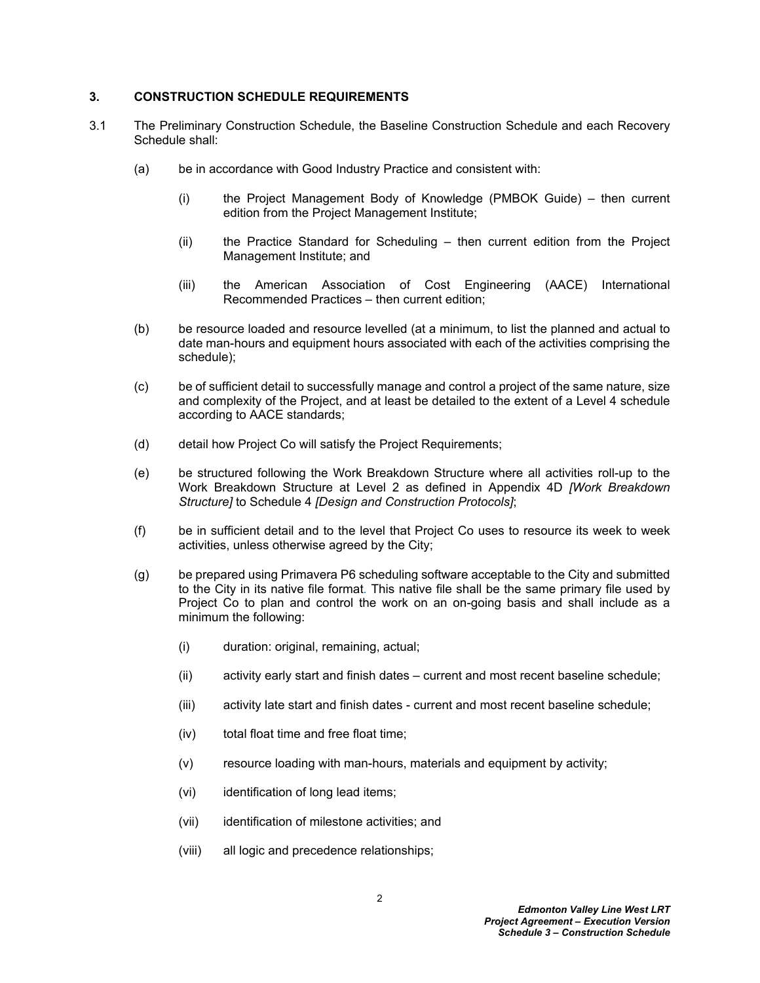#### <span id="page-3-0"></span>**3. CONSTRUCTION SCHEDULE REQUIREMENTS**

- <span id="page-3-1"></span>3.1 The Preliminary Construction Schedule, the Baseline Construction Schedule and each Recovery Schedule shall:
	- (a) be in accordance with Good Industry Practice and consistent with:
		- (i) the Project Management Body of Knowledge (PMBOK Guide) then current edition from the Project Management Institute;
		- (ii) the Practice Standard for Scheduling then current edition from the Project Management Institute; and
		- (iii) the American Association of Cost Engineering (AACE) International Recommended Practices – then current edition;
	- (b) be resource loaded and resource levelled (at a minimum, to list the planned and actual to date man-hours and equipment hours associated with each of the activities comprising the schedule);
	- (c) be of sufficient detail to successfully manage and control a project of the same nature, size and complexity of the Project, and at least be detailed to the extent of a Level 4 schedule according to AACE standards;
	- (d) detail how Project Co will satisfy the Project Requirements;
	- (e) be structured following the Work Breakdown Structure where all activities roll-up to the Work Breakdown Structure at Level 2 as defined in Appendix 4D *[Work Breakdown Structure]* to Schedule 4 *[Design and Construction Protocols]*;
	- (f) be in sufficient detail and to the level that Project Co uses to resource its week to week activities, unless otherwise agreed by the City;
	- (g) be prepared using Primavera P6 scheduling software acceptable to the City and submitted to the City in its native file format*.* This native file shall be the same primary file used by Project Co to plan and control the work on an on-going basis and shall include as a minimum the following:
		- (i) duration: original, remaining, actual;
		- (ii) activity early start and finish dates current and most recent baseline schedule;
		- (iii) activity late start and finish dates current and most recent baseline schedule;
		- (iv) total float time and free float time;
		- (v) resource loading with man-hours, materials and equipment by activity;
		- (vi) identification of long lead items;
		- (vii) identification of milestone activities; and
		- (viii) all logic and precedence relationships;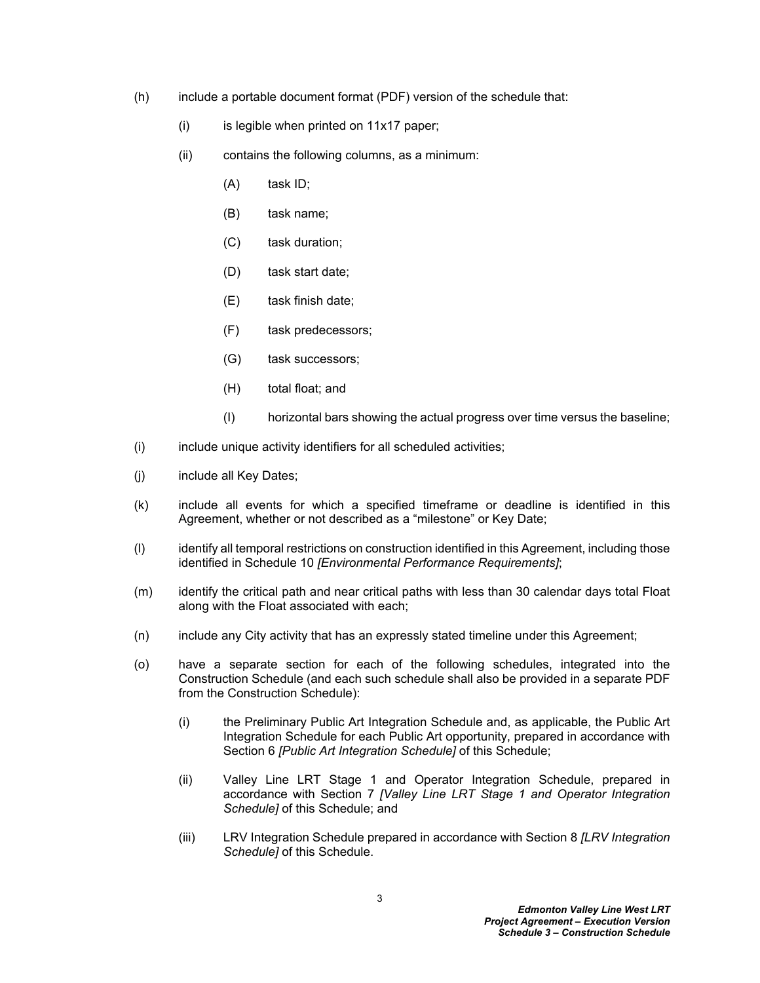- (h) include a portable document format (PDF) version of the schedule that:
	- $(i)$  is legible when printed on 11x17 paper;
	- (ii) contains the following columns, as a minimum:
		- (A) task ID;
		- (B) task name;
		- (C) task duration;
		- (D) task start date;
		- (E) task finish date;
		- (F) task predecessors;
		- (G) task successors;
		- (H) total float; and
		- (I) horizontal bars showing the actual progress over time versus the baseline;
- (i) include unique activity identifiers for all scheduled activities;
- (j) include all Key Dates;
- (k) include all events for which a specified timeframe or deadline is identified in this Agreement, whether or not described as a "milestone" or Key Date;
- (l) identify all temporal restrictions on construction identified in this Agreement, including those identified in Schedule 10 *[Environmental Performance Requirements]*;
- (m) identify the critical path and near critical paths with less than 30 calendar days total Float along with the Float associated with each;
- (n) include any City activity that has an expressly stated timeline under this Agreement;
- (o) have a separate section for each of the following schedules, integrated into the Construction Schedule (and each such schedule shall also be provided in a separate PDF from the Construction Schedule):
	- (i) the Preliminary Public Art Integration Schedule and, as applicable, the Public Art Integration Schedule for each Public Art opportunity, prepared in accordance with Section [6](#page-7-0) *[Public Art Integration Schedule]* of this Schedule;
	- (ii) Valley Line LRT Stage 1 and Operator Integration Schedule, prepared in accordance with Section [7](#page-8-0) *[Valley Line LRT Stage 1 and Operator Integration Schedule]* of this Schedule; and
	- (iii) LRV Integration Schedule prepared in accordance with Section [8](#page-9-0) *[LRV Integration Schedule]* of this Schedule.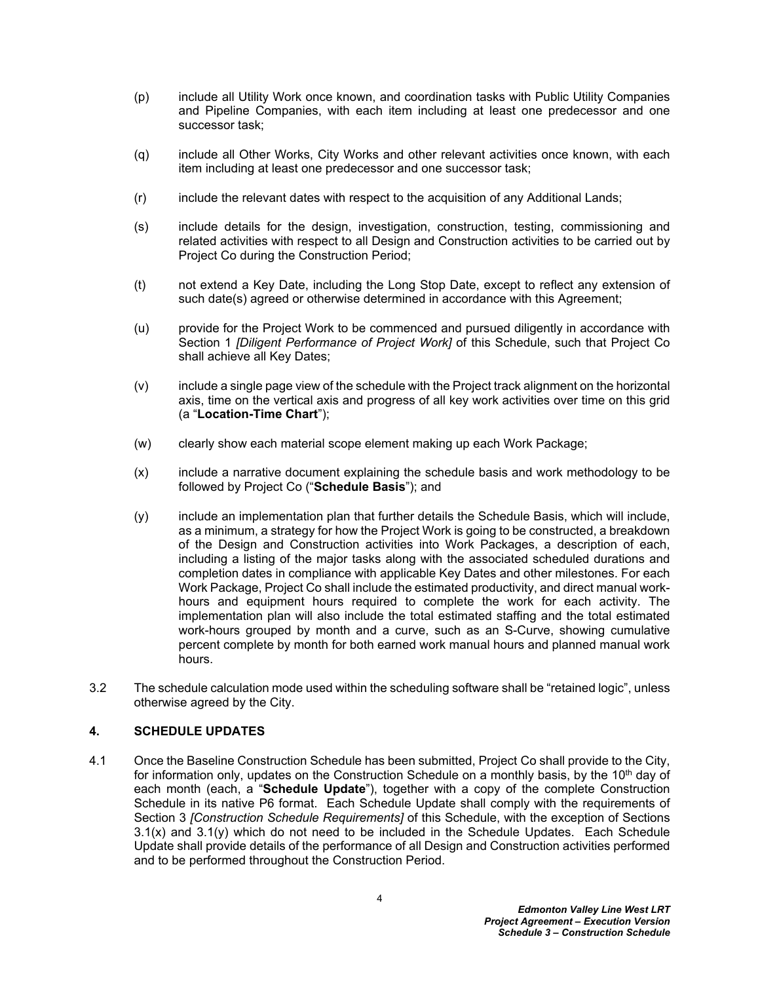- (p) include all Utility Work once known, and coordination tasks with Public Utility Companies and Pipeline Companies, with each item including at least one predecessor and one successor task;
- (q) include all Other Works, City Works and other relevant activities once known, with each item including at least one predecessor and one successor task;
- (r) include the relevant dates with respect to the acquisition of any Additional Lands;
- (s) include details for the design, investigation, construction, testing, commissioning and related activities with respect to all Design and Construction activities to be carried out by Project Co during the Construction Period;
- (t) not extend a Key Date, including the Long Stop Date, except to reflect any extension of such date(s) agreed or otherwise determined in accordance with this Agreement;
- (u) provide for the Project Work to be commenced and pursued diligently in accordance with Section [1](#page-2-0) *[Diligent Performance of Project Work]* of this Schedule, such that Project Co shall achieve all Key Dates;
- (v) include a single page view of the schedule with the Project track alignment on the horizontal axis, time on the vertical axis and progress of all key work activities over time on this grid (a "**Location-Time Chart**");
- (w) clearly show each material scope element making up each Work Package;
- <span id="page-5-1"></span>(x) include a narrative document explaining the schedule basis and work methodology to be followed by Project Co ("**Schedule Basis**"); and
- <span id="page-5-2"></span>(y) include an implementation plan that further details the Schedule Basis, which will include, as a minimum, a strategy for how the Project Work is going to be constructed, a breakdown of the Design and Construction activities into Work Packages, a description of each, including a listing of the major tasks along with the associated scheduled durations and completion dates in compliance with applicable Key Dates and other milestones. For each Work Package, Project Co shall include the estimated productivity, and direct manual workhours and equipment hours required to complete the work for each activity. The implementation plan will also include the total estimated staffing and the total estimated work-hours grouped by month and a curve, such as an S-Curve, showing cumulative percent complete by month for both earned work manual hours and planned manual work hours.
- 3.2 The schedule calculation mode used within the scheduling software shall be "retained logic", unless otherwise agreed by the City.

## <span id="page-5-0"></span>**4. SCHEDULE UPDATES**

4.1 Once the Baseline Construction Schedule has been submitted, Project Co shall provide to the City, for information only, updates on the Construction Schedule on a monthly basis, by the 10<sup>th</sup> day of each month (each, a "**Schedule Update**"), together with a copy of the complete Construction Schedule in its native P6 format. Each Schedule Update shall comply with the requirements of Section [3](#page-3-0) *[Construction Schedule Requirements]* of this Schedule, with the exception of Sections [3.1\(x\)](#page-5-1) and [3.1\(y\)](#page-5-2) which do not need to be included in the Schedule Updates. Each Schedule Update shall provide details of the performance of all Design and Construction activities performed and to be performed throughout the Construction Period.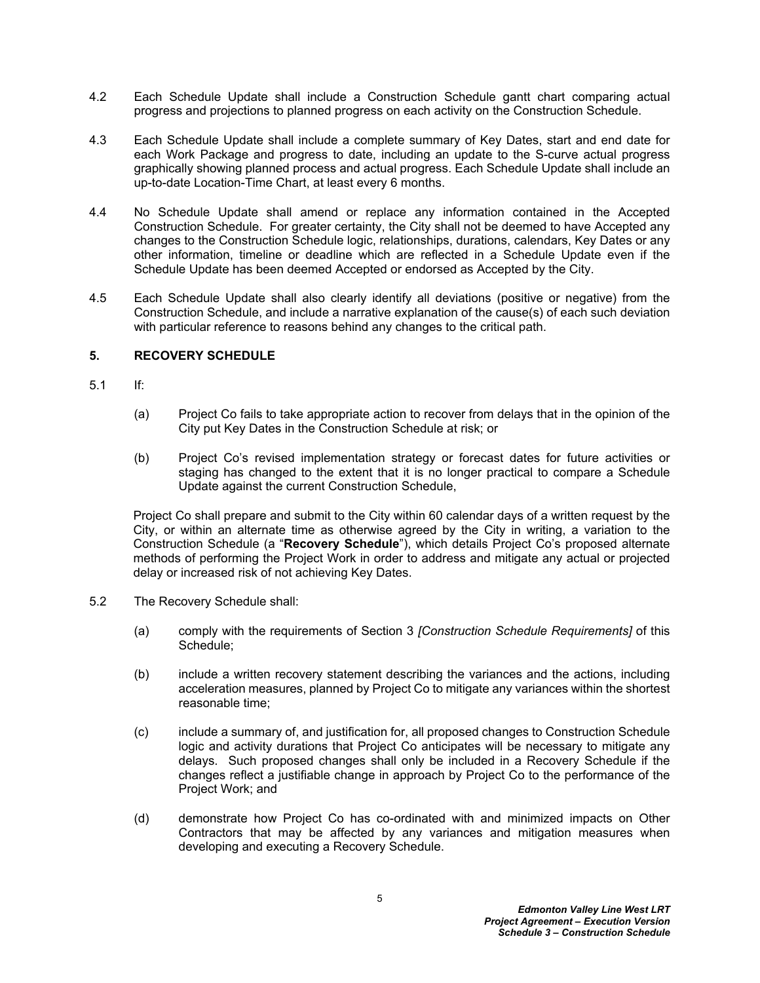- 4.2 Each Schedule Update shall include a Construction Schedule gantt chart comparing actual progress and projections to planned progress on each activity on the Construction Schedule.
- 4.3 Each Schedule Update shall include a complete summary of Key Dates, start and end date for each Work Package and progress to date, including an update to the S-curve actual progress graphically showing planned process and actual progress. Each Schedule Update shall include an up-to-date Location-Time Chart, at least every 6 months.
- 4.4 No Schedule Update shall amend or replace any information contained in the Accepted Construction Schedule. For greater certainty, the City shall not be deemed to have Accepted any changes to the Construction Schedule logic, relationships, durations, calendars, Key Dates or any other information, timeline or deadline which are reflected in a Schedule Update even if the Schedule Update has been deemed Accepted or endorsed as Accepted by the City.
- 4.5 Each Schedule Update shall also clearly identify all deviations (positive or negative) from the Construction Schedule, and include a narrative explanation of the cause(s) of each such deviation with particular reference to reasons behind any changes to the critical path.

### <span id="page-6-0"></span>**5. RECOVERY SCHEDULE**

- 5.1 If:
	- (a) Project Co fails to take appropriate action to recover from delays that in the opinion of the City put Key Dates in the Construction Schedule at risk; or
	- (b) Project Co's revised implementation strategy or forecast dates for future activities or staging has changed to the extent that it is no longer practical to compare a Schedule Update against the current Construction Schedule,

Project Co shall prepare and submit to the City within 60 calendar days of a written request by the City, or within an alternate time as otherwise agreed by the City in writing, a variation to the Construction Schedule (a "**Recovery Schedule**"), which details Project Co's proposed alternate methods of performing the Project Work in order to address and mitigate any actual or projected delay or increased risk of not achieving Key Dates.

- 5.2 The Recovery Schedule shall:
	- (a) comply with the requirements of Section [3](#page-3-0) *[Construction Schedule Requirements]* of this Schedule;
	- (b) include a written recovery statement describing the variances and the actions, including acceleration measures, planned by Project Co to mitigate any variances within the shortest reasonable time;
	- (c) include a summary of, and justification for, all proposed changes to Construction Schedule logic and activity durations that Project Co anticipates will be necessary to mitigate any delays. Such proposed changes shall only be included in a Recovery Schedule if the changes reflect a justifiable change in approach by Project Co to the performance of the Project Work; and
	- (d) demonstrate how Project Co has co-ordinated with and minimized impacts on Other Contractors that may be affected by any variances and mitigation measures when developing and executing a Recovery Schedule.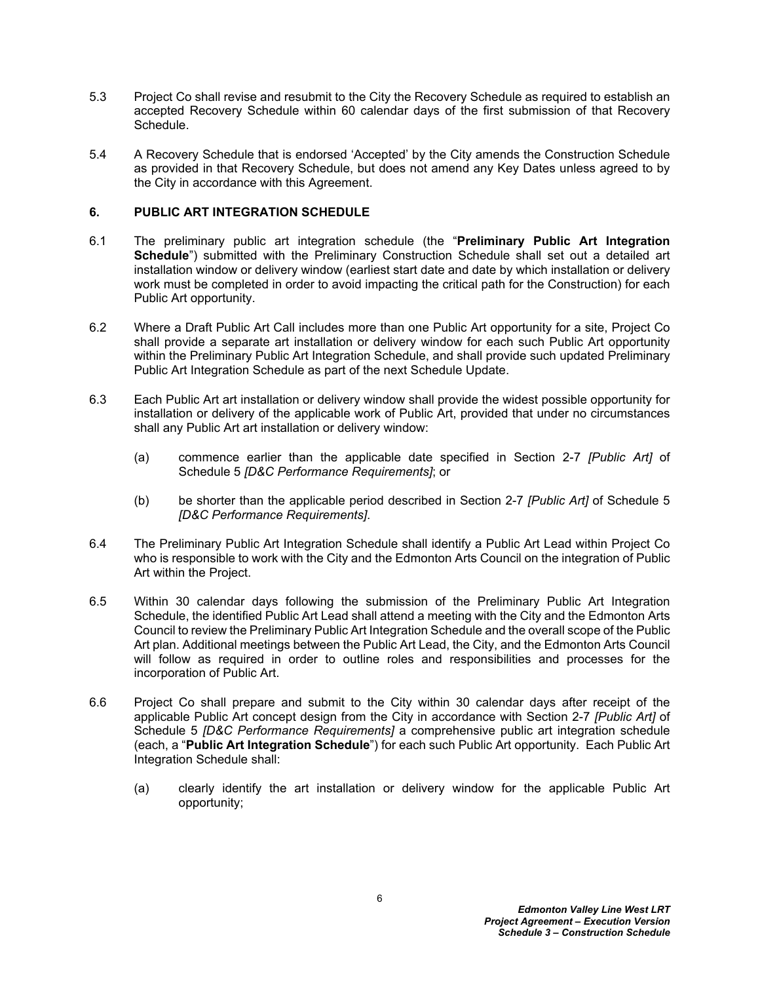- 5.3 Project Co shall revise and resubmit to the City the Recovery Schedule as required to establish an accepted Recovery Schedule within 60 calendar days of the first submission of that Recovery Schedule.
- 5.4 A Recovery Schedule that is endorsed 'Accepted' by the City amends the Construction Schedule as provided in that Recovery Schedule, but does not amend any Key Dates unless agreed to by the City in accordance with this Agreement.

### <span id="page-7-0"></span>**6. PUBLIC ART INTEGRATION SCHEDULE**

- 6.1 The preliminary public art integration schedule (the "**Preliminary Public Art Integration**  Schedule<sup>"</sup>) submitted with the Preliminary Construction Schedule shall set out a detailed art installation window or delivery window (earliest start date and date by which installation or delivery work must be completed in order to avoid impacting the critical path for the Construction) for each Public Art opportunity.
- 6.2 Where a Draft Public Art Call includes more than one Public Art opportunity for a site, Project Co shall provide a separate art installation or delivery window for each such Public Art opportunity within the Preliminary Public Art Integration Schedule, and shall provide such updated Preliminary Public Art Integration Schedule as part of the next Schedule Update.
- 6.3 Each Public Art art installation or delivery window shall provide the widest possible opportunity for installation or delivery of the applicable work of Public Art, provided that under no circumstances shall any Public Art art installation or delivery window:
	- (a) commence earlier than the applicable date specified in Section 2-7 *[Public Art]* of Schedule 5 *[D&C Performance Requirements]*; or
	- (b) be shorter than the applicable period described in Section 2-7 *[Public Art]* of Schedule 5 *[D&C Performance Requirements]*.
- 6.4 The Preliminary Public Art Integration Schedule shall identify a Public Art Lead within Project Co who is responsible to work with the City and the Edmonton Arts Council on the integration of Public Art within the Project.
- 6.5 Within 30 calendar days following the submission of the Preliminary Public Art Integration Schedule, the identified Public Art Lead shall attend a meeting with the City and the Edmonton Arts Council to review the Preliminary Public Art Integration Schedule and the overall scope of the Public Art plan. Additional meetings between the Public Art Lead, the City, and the Edmonton Arts Council will follow as required in order to outline roles and responsibilities and processes for the incorporation of Public Art.
- <span id="page-7-1"></span>6.6 Project Co shall prepare and submit to the City within 30 calendar days after receipt of the applicable Public Art concept design from the City in accordance with Section 2-7 *[Public Art]* of Schedule 5 *[D&C Performance Requirements]* a comprehensive public art integration schedule (each, a "**Public Art Integration Schedule**") for each such Public Art opportunity. Each Public Art Integration Schedule shall:
	- (a) clearly identify the art installation or delivery window for the applicable Public Art opportunity;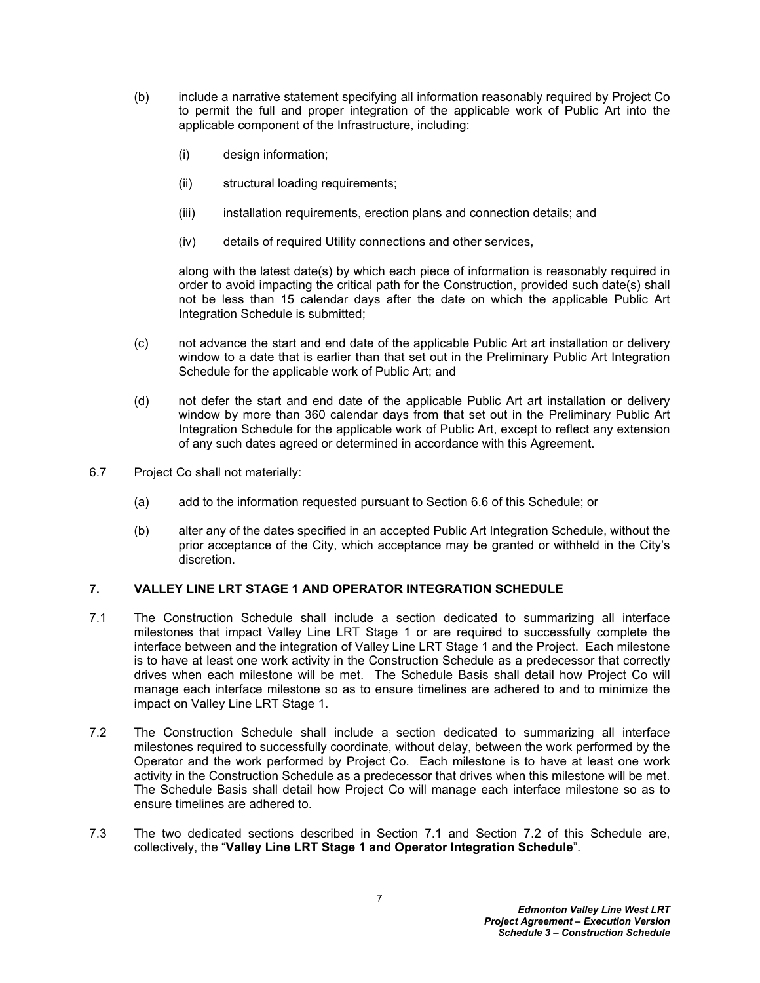- (b) include a narrative statement specifying all information reasonably required by Project Co to permit the full and proper integration of the applicable work of Public Art into the applicable component of the Infrastructure, including:
	- (i) design information;
	- (ii) structural loading requirements;
	- (iii) installation requirements, erection plans and connection details; and
	- (iv) details of required Utility connections and other services,

along with the latest date(s) by which each piece of information is reasonably required in order to avoid impacting the critical path for the Construction, provided such date(s) shall not be less than 15 calendar days after the date on which the applicable Public Art Integration Schedule is submitted;

- (c) not advance the start and end date of the applicable Public Art art installation or delivery window to a date that is earlier than that set out in the Preliminary Public Art Integration Schedule for the applicable work of Public Art; and
- (d) not defer the start and end date of the applicable Public Art art installation or delivery window by more than 360 calendar days from that set out in the Preliminary Public Art Integration Schedule for the applicable work of Public Art, except to reflect any extension of any such dates agreed or determined in accordance with this Agreement.
- 6.7 Project Co shall not materially:
	- (a) add to the information requested pursuant to Section [6.6](#page-7-1) of this Schedule; or
	- (b) alter any of the dates specified in an accepted Public Art Integration Schedule, without the prior acceptance of the City, which acceptance may be granted or withheld in the City's discretion.

## <span id="page-8-0"></span>**7. VALLEY LINE LRT STAGE 1 AND OPERATOR INTEGRATION SCHEDULE**

- <span id="page-8-1"></span>7.1 The Construction Schedule shall include a section dedicated to summarizing all interface milestones that impact Valley Line LRT Stage 1 or are required to successfully complete the interface between and the integration of Valley Line LRT Stage 1 and the Project. Each milestone is to have at least one work activity in the Construction Schedule as a predecessor that correctly drives when each milestone will be met. The Schedule Basis shall detail how Project Co will manage each interface milestone so as to ensure timelines are adhered to and to minimize the impact on Valley Line LRT Stage 1.
- <span id="page-8-2"></span>7.2 The Construction Schedule shall include a section dedicated to summarizing all interface milestones required to successfully coordinate, without delay, between the work performed by the Operator and the work performed by Project Co. Each milestone is to have at least one work activity in the Construction Schedule as a predecessor that drives when this milestone will be met. The Schedule Basis shall detail how Project Co will manage each interface milestone so as to ensure timelines are adhered to.
- 7.3 The two dedicated sections described in Section [7.1](#page-8-1) and Section [7.2](#page-8-2) of this Schedule are, collectively, the "**Valley Line LRT Stage 1 and Operator Integration Schedule**".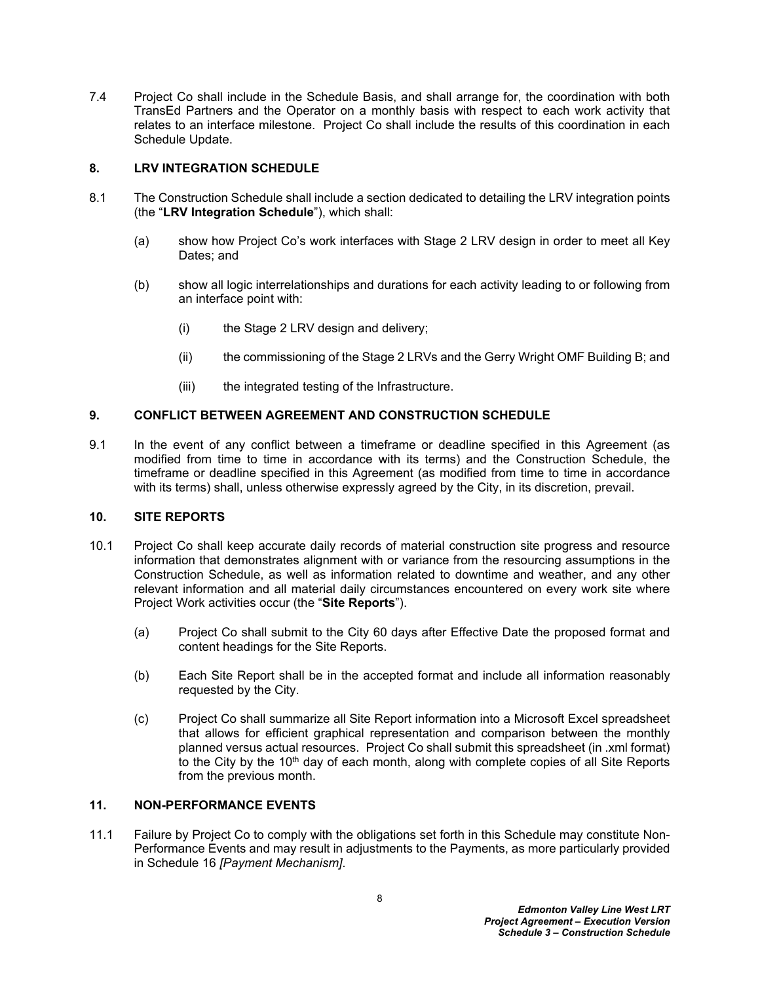7.4 Project Co shall include in the Schedule Basis, and shall arrange for, the coordination with both TransEd Partners and the Operator on a monthly basis with respect to each work activity that relates to an interface milestone. Project Co shall include the results of this coordination in each Schedule Update.

### <span id="page-9-0"></span>**8. LRV INTEGRATION SCHEDULE**

- 8.1 The Construction Schedule shall include a section dedicated to detailing the LRV integration points (the "**LRV Integration Schedule**"), which shall:
	- (a) show how Project Co's work interfaces with Stage 2 LRV design in order to meet all Key Dates; and
	- (b) show all logic interrelationships and durations for each activity leading to or following from an interface point with:
		- (i) the Stage 2 LRV design and delivery;
		- (ii) the commissioning of the Stage 2 LRVs and the Gerry Wright OMF Building B; and
		- (iii) the integrated testing of the Infrastructure.

### <span id="page-9-1"></span>**9. CONFLICT BETWEEN AGREEMENT AND CONSTRUCTION SCHEDULE**

9.1 In the event of any conflict between a timeframe or deadline specified in this Agreement (as modified from time to time in accordance with its terms) and the Construction Schedule, the timeframe or deadline specified in this Agreement (as modified from time to time in accordance with its terms) shall, unless otherwise expressly agreed by the City, in its discretion, prevail.

#### <span id="page-9-2"></span>**10. SITE REPORTS**

- 10.1 Project Co shall keep accurate daily records of material construction site progress and resource information that demonstrates alignment with or variance from the resourcing assumptions in the Construction Schedule, as well as information related to downtime and weather, and any other relevant information and all material daily circumstances encountered on every work site where Project Work activities occur (the "**Site Reports**").
	- (a) Project Co shall submit to the City 60 days after Effective Date the proposed format and content headings for the Site Reports.
	- (b) Each Site Report shall be in the accepted format and include all information reasonably requested by the City.
	- (c) Project Co shall summarize all Site Report information into a Microsoft Excel spreadsheet that allows for efficient graphical representation and comparison between the monthly planned versus actual resources. Project Co shall submit this spreadsheet (in .xml format) to the City by the  $10<sup>th</sup>$  day of each month, along with complete copies of all Site Reports from the previous month.

## <span id="page-9-3"></span>**11. NON-PERFORMANCE EVENTS**

11.1 Failure by Project Co to comply with the obligations set forth in this Schedule may constitute Non-Performance Events and may result in adjustments to the Payments, as more particularly provided in Schedule 16 *[Payment Mechanism]*.